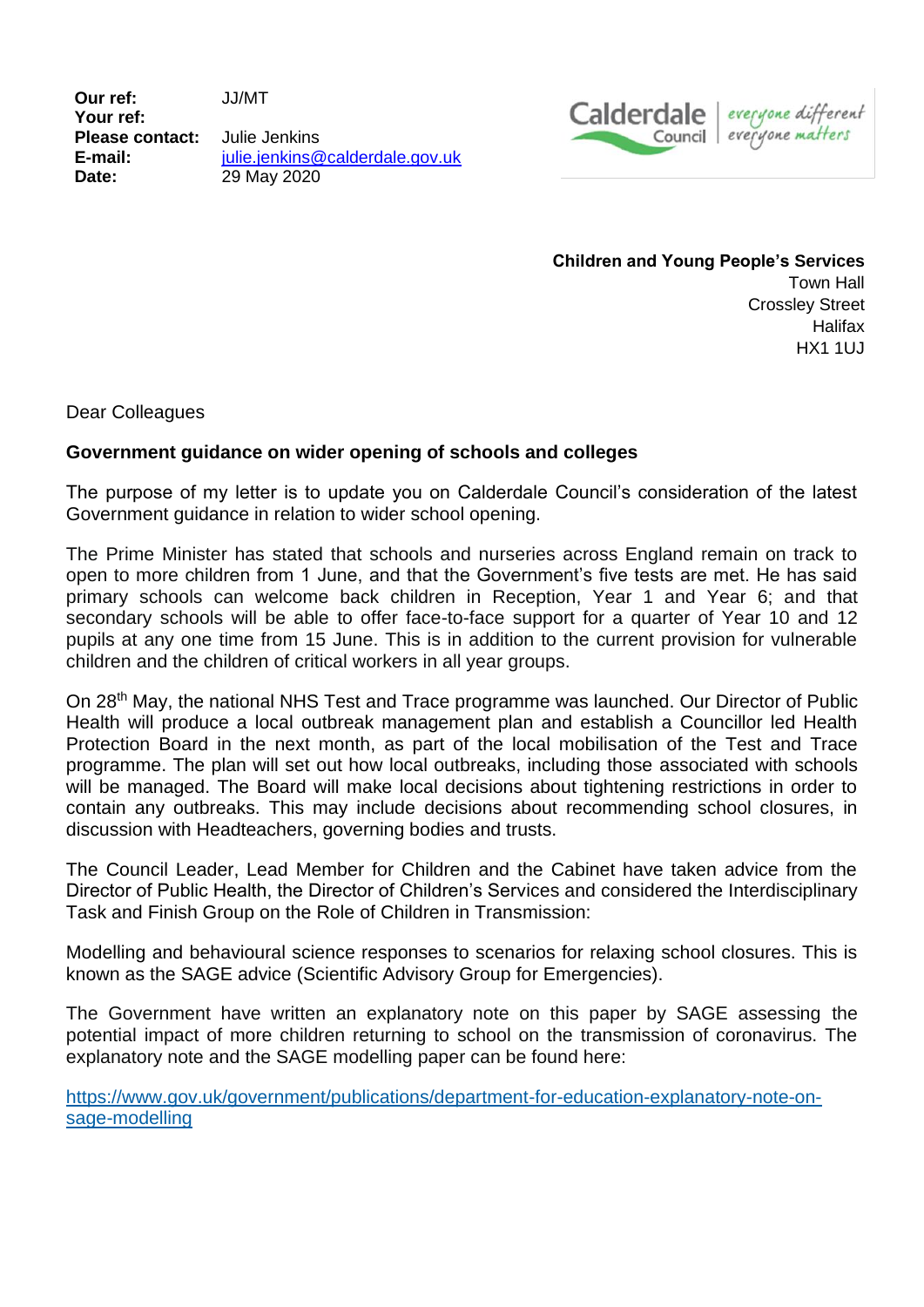**Our ref:** JJ/MT **Your ref: Please contact:** Julie Jenkins **E-mail:** [julie.jenkins@calderdale.gov.uk](mailto:julie.jenkins@calderdale.gov.uk) **Date:** 29 May 2020



**Children and Young People's Services** Town Hall Crossley Street **Halifax** HX1 1UJ

Dear Colleagues

## **Government guidance on wider opening of schools and colleges**

The purpose of my letter is to update you on Calderdale Council's consideration of the latest Government guidance in relation to wider school opening.

The Prime Minister has stated that schools and nurseries across England remain on track to open to more children from 1 June, and that the Government's five tests are met. He has said primary schools can welcome back children in Reception, Year 1 and Year 6; and that secondary schools will be able to offer face-to-face support for a quarter of Year 10 and 12 pupils at any one time from 15 June. This is in addition to the current provision for vulnerable children and the children of critical workers in all year groups.

On 28<sup>th</sup> May, the national NHS Test and Trace programme was launched. Our Director of Public Health will produce a local outbreak management plan and establish a Councillor led Health Protection Board in the next month, as part of the local mobilisation of the Test and Trace programme. The plan will set out how local outbreaks, including those associated with schools will be managed. The Board will make local decisions about tightening restrictions in order to contain any outbreaks. This may include decisions about recommending school closures, in discussion with Headteachers, governing bodies and trusts.

The Council Leader, Lead Member for Children and the Cabinet have taken advice from the Director of Public Health, the Director of Children's Services and considered the Interdisciplinary Task and Finish Group on the Role of Children in Transmission:

Modelling and behavioural science responses to scenarios for relaxing school closures. This is known as the SAGE advice (Scientific Advisory Group for Emergencies).

The Government have written an explanatory note on this paper by SAGE assessing the potential impact of more children returning to school on the transmission of coronavirus. The explanatory note and the SAGE modelling paper can be found here:

[https://www.gov.uk/government/publications/department-for-education-explanatory-note-on](https://www.gov.uk/government/publications/department-for-education-explanatory-note-on-sage-modelling)[sage-modelling](https://www.gov.uk/government/publications/department-for-education-explanatory-note-on-sage-modelling)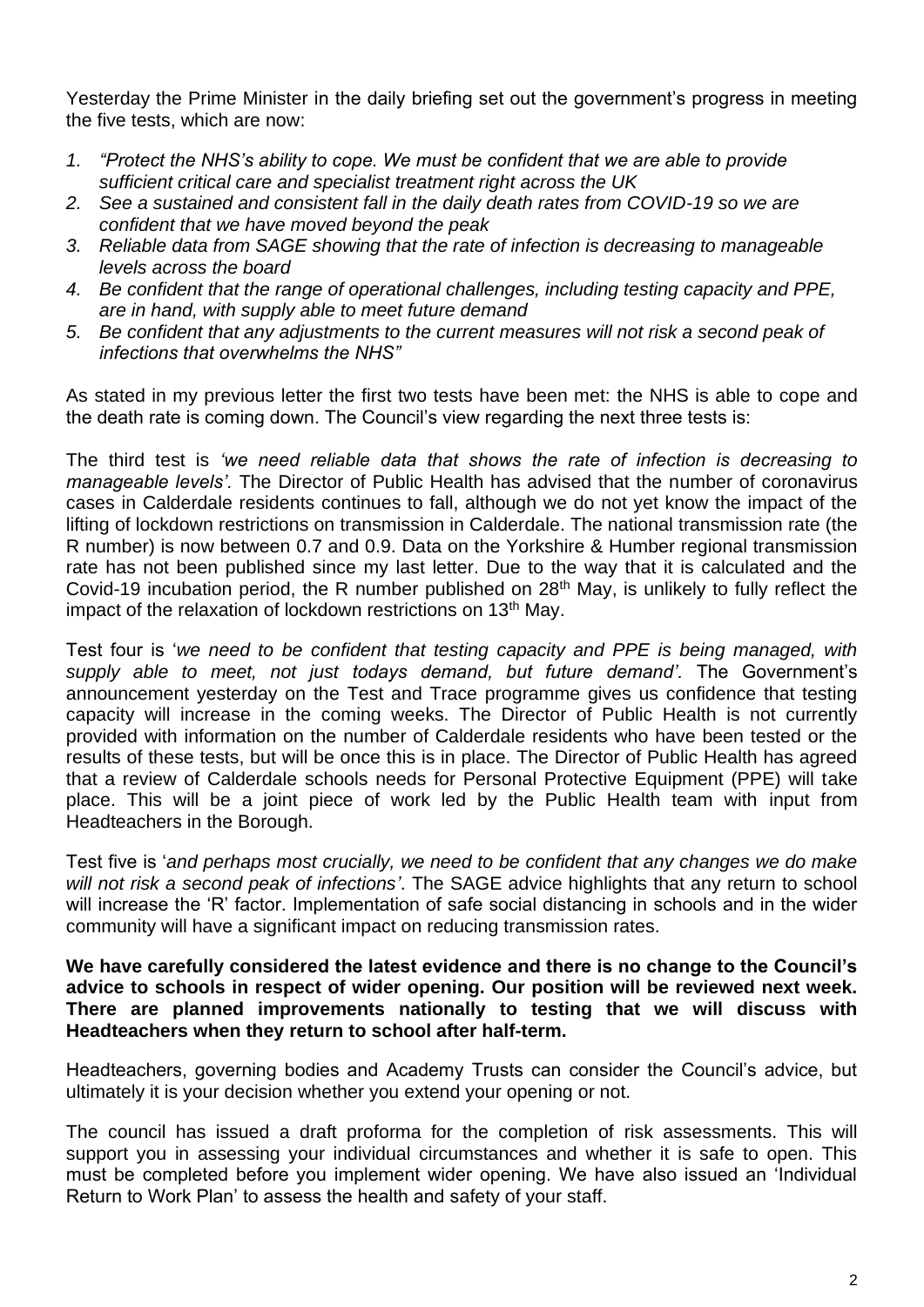Yesterday the Prime Minister in the daily briefing set out the government's progress in meeting the five tests, which are now:

- *1. "Protect the NHS's ability to cope. We must be confident that we are able to provide sufficient critical care and specialist treatment right across the UK*
- *2. See a sustained and consistent fall in the daily death rates from COVID-19 so we are confident that we have moved beyond the peak*
- *3. Reliable data from SAGE showing that the rate of infection is decreasing to manageable levels across the board*
- *4. Be confident that the range of operational challenges, including testing capacity and PPE, are in hand, with supply able to meet future demand*
- *5. Be confident that any adjustments to the current measures will not risk a second peak of infections that overwhelms the NHS"*

As stated in my previous letter the first two tests have been met: the NHS is able to cope and the death rate is coming down. The Council's view regarding the next three tests is:

The third test is *'we need reliable data that shows the rate of infection is decreasing to manageable levels'.* The Director of Public Health has advised that the number of coronavirus cases in Calderdale residents continues to fall, although we do not yet know the impact of the lifting of lockdown restrictions on transmission in Calderdale. The national transmission rate (the R number) is now between 0.7 and 0.9. Data on the Yorkshire & Humber regional transmission rate has not been published since my last letter. Due to the way that it is calculated and the Covid-19 incubation period, the R number published on 28th May, is unlikely to fully reflect the impact of the relaxation of lockdown restrictions on 13<sup>th</sup> May.

Test four is '*we need to be confident that testing capacity and PPE is being managed, with supply able to meet, not just todays demand, but future demand'.* The Government's announcement yesterday on the Test and Trace programme gives us confidence that testing capacity will increase in the coming weeks. The Director of Public Health is not currently provided with information on the number of Calderdale residents who have been tested or the results of these tests, but will be once this is in place. The Director of Public Health has agreed that a review of Calderdale schools needs for Personal Protective Equipment (PPE) will take place. This will be a joint piece of work led by the Public Health team with input from Headteachers in the Borough.

Test five is '*and perhaps most crucially, we need to be confident that any changes we do make will not risk a second peak of infections'*. The SAGE advice highlights that any return to school will increase the 'R' factor. Implementation of safe social distancing in schools and in the wider community will have a significant impact on reducing transmission rates.

**We have carefully considered the latest evidence and there is no change to the Council's advice to schools in respect of wider opening. Our position will be reviewed next week. There are planned improvements nationally to testing that we will discuss with Headteachers when they return to school after half-term.** 

Headteachers, governing bodies and Academy Trusts can consider the Council's advice, but ultimately it is your decision whether you extend your opening or not.

The council has issued a draft proforma for the completion of risk assessments. This will support you in assessing your individual circumstances and whether it is safe to open. This must be completed before you implement wider opening. We have also issued an 'Individual Return to Work Plan' to assess the health and safety of your staff.